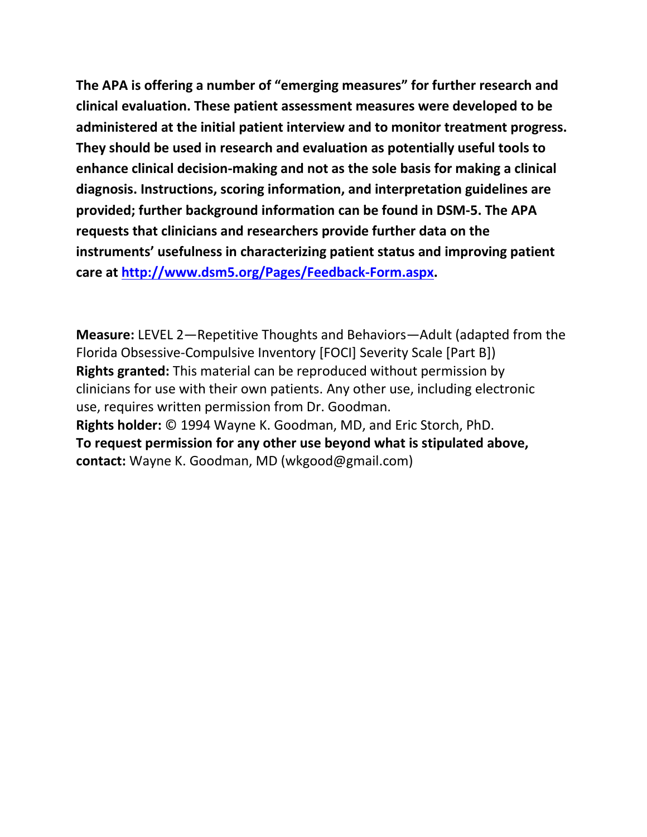**The APA is offering a number of "emerging measures" for further research and clinical evaluation. These patient assessment measures were developed to be administered at the initial patient interview and to monitor treatment progress. They should be used in research and evaluation as potentially useful tools to enhance clinical decision-making and not as the sole basis for making a clinical diagnosis. Instructions, scoring information, and interpretation guidelines are provided; further background information can be found in DSM-5. The APA requests that clinicians and researchers provide further data on the instruments' usefulness in characterizing patient status and improving patient care at [http://www.dsm5.org/Pages/Feedback-Form.aspx.](http://www.dsm5.org/Pages/Feedback-Form.aspx)**

**Measure:** LEVEL 2—Repetitive Thoughts and Behaviors—Adult (adapted from the Florida Obsessive-Compulsive Inventory [FOCI] Severity Scale [Part B]) **Rights granted:** This material can be reproduced without permission by clinicians for use with their own patients. Any other use, including electronic use, requires written permission from Dr. Goodman. **Rights holder:** © 1994 Wayne K. Goodman, MD, and Eric Storch, PhD. **To request permission for any other use beyond what is stipulated above, contact:** Wayne K. Goodman, MD (wkgood@gmail.com)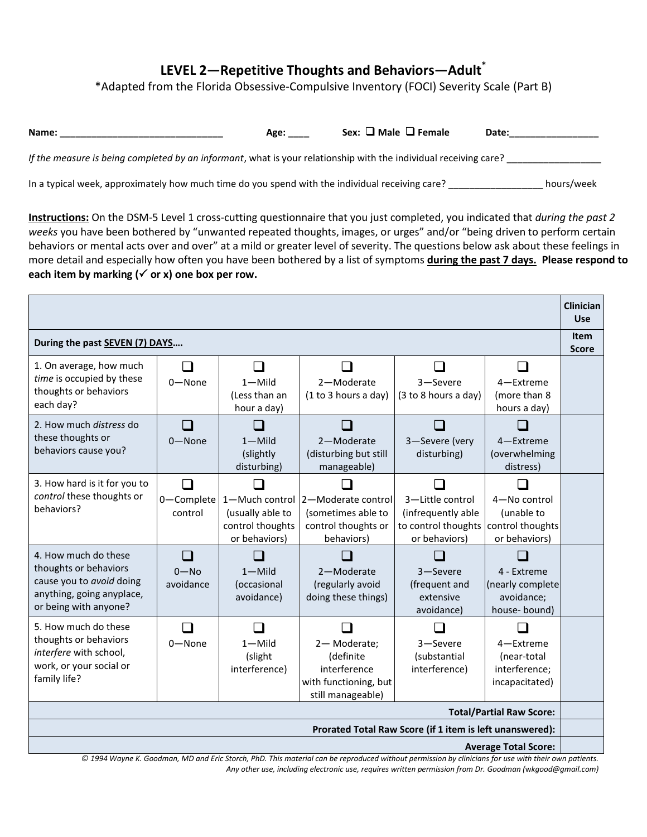## **LEVEL 2—Repetitive Thoughts and Behaviors—Adult\***

\*Adapted from the Florida Obsessive-Compulsive Inventory (FOCI) Severity Scale (Part B)

| Name:                                                                                                            | Age: | Sex: $\Box$ Male $\Box$ Female | Date: |            |
|------------------------------------------------------------------------------------------------------------------|------|--------------------------------|-------|------------|
| If the measure is being completed by an informant, what is your relationship with the individual receiving care? |      |                                |       |            |
| In a typical week, approximately how much time do you spend with the individual receiving care?                  |      |                                |       | hours/week |

**Instructions:** On the DSM-5 Level 1 cross-cutting questionnaire that you just completed, you indicated that *during the past 2 weeks* you have been bothered by "unwanted repeated thoughts, images, or urges" and/or "being driven to perform certain behaviors or mental acts over and over" at a mild or greater level of severity. The questions below ask about these feelings in more detail and especially how often you have been bothered by a list of symptoms **during the past 7 days. Please respond to**  each item by marking  $(\checkmark)$  or x) one box per row.

|                                                                         |                       |                                    |                                          |                                        |                            | Clinician<br><b>Use</b> |
|-------------------------------------------------------------------------|-----------------------|------------------------------------|------------------------------------------|----------------------------------------|----------------------------|-------------------------|
|                                                                         |                       |                                    |                                          |                                        |                            | <b>Item</b>             |
| During the past SEVEN (7) DAYS                                          |                       |                                    |                                          |                                        |                            | <b>Score</b>            |
| 1. On average, how much                                                 | - 1                   | - 1                                |                                          |                                        |                            |                         |
| time is occupied by these                                               | $0 - None$            | $1 -$ Mild                         | 2-Moderate                               | 3-Severe                               | 4-Extreme                  |                         |
| thoughts or behaviors<br>each day?                                      |                       | (Less than an                      | (1 to 3 hours a day)                     | (3 to 8 hours a day)                   | (more than 8               |                         |
|                                                                         |                       | hour a day)                        |                                          |                                        | hours a day)               |                         |
| 2. How much <i>distress</i> do                                          |                       |                                    |                                          |                                        |                            |                         |
| these thoughts or<br>behaviors cause you?                               | $0 - None$            | $1 -$ Mild                         | 2-Moderate                               | 3-Severe (very                         | 4-Extreme                  |                         |
|                                                                         |                       | (slightly                          | (disturbing but still                    | disturbing)                            | (overwhelming<br>distress) |                         |
|                                                                         |                       | disturbing)                        | manageable)                              |                                        |                            |                         |
| 3. How hard is it for you to<br>control these thoughts or<br>behaviors? | П                     |                                    |                                          |                                        |                            |                         |
|                                                                         | 0-Complete<br>control | 1-Much control<br>(usually able to | 2-Moderate control<br>(sometimes able to | 3-Little control<br>(infrequently able | 4-No control<br>(unable to |                         |
|                                                                         |                       | control thoughts                   | control thoughts or                      | to control thoughts                    | control thoughts           |                         |
|                                                                         |                       | or behaviors)                      | behaviors)                               | or behaviors)                          | or behaviors)              |                         |
| 4. How much do these                                                    | l 1                   |                                    |                                          |                                        |                            |                         |
| thoughts or behaviors                                                   | $0 - No$              | $1 -$ Mild                         | 2-Moderate                               | 3-Severe                               | 4 - Extreme                |                         |
| cause you to avoid doing<br>anything, going anyplace,                   | avoidance             | (occasional                        | (regularly avoid                         | (frequent and                          | (nearly complete           |                         |
| or being with anyone?                                                   |                       | avoidance)                         | doing these things)                      | extensive                              | avoidance;                 |                         |
| 5. How much do these                                                    |                       |                                    |                                          | avoidance)                             | house-bound)               |                         |
| thoughts or behaviors                                                   |                       |                                    |                                          |                                        |                            |                         |
| interfere with school,                                                  | $0 - None$            | $1 -$ Mild<br>(slight              | 2-Moderate;<br>(definite                 | 3-Severe<br>(substantial               | 4-Extreme<br>(near-total   |                         |
| work, or your social or                                                 |                       | interference)                      | interference                             | interference)                          | interference;              |                         |
| family life?                                                            |                       |                                    | with functioning, but                    |                                        | incapacitated)             |                         |
|                                                                         |                       |                                    | still manageable)                        |                                        |                            |                         |
| <b>Total/Partial Raw Score:</b>                                         |                       |                                    |                                          |                                        |                            |                         |
| Prorated Total Raw Score (if 1 item is left unanswered):                |                       |                                    |                                          |                                        |                            |                         |
| <b>Average Total Score:</b>                                             |                       |                                    |                                          |                                        |                            |                         |

*© 1994 Wayne K. Goodman, MD and Eric Storch, PhD. This material can be reproduced without permission by clinicians for use with their own patients. Any other use, including electronic use, requires written permission from Dr. Goodman (*w*kgood@gmail.com)*